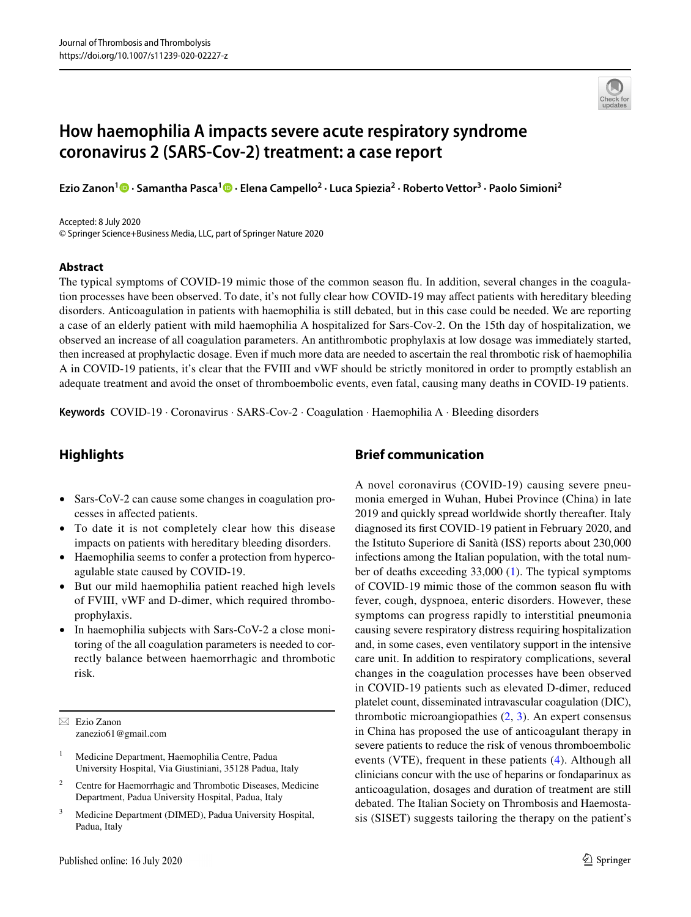

# **How haemophilia A impacts severe acute respiratory syndrome coronavirus 2 (SARS-Cov-2) treatment: a case report**

**Ezio Zanon1 · Samantha Pasca[1](http://orcid.org/0000-0002-0954-013X) · Elena Campello2 · Luca Spiezia2 · Roberto Vettor3 · Paolo Simioni2**

Accepted: 8 July 2020 © Springer Science+Business Media, LLC, part of Springer Nature 2020

#### **Abstract**

The typical symptoms of COVID-19 mimic those of the common season fu. In addition, several changes in the coagulation processes have been observed. To date, it's not fully clear how COVID-19 may afect patients with hereditary bleeding disorders. Anticoagulation in patients with haemophilia is still debated, but in this case could be needed. We are reporting a case of an elderly patient with mild haemophilia A hospitalized for Sars-Cov-2. On the 15th day of hospitalization, we observed an increase of all coagulation parameters. An antithrombotic prophylaxis at low dosage was immediately started, then increased at prophylactic dosage. Even if much more data are needed to ascertain the real thrombotic risk of haemophilia A in COVID-19 patients, it's clear that the FVIII and vWF should be strictly monitored in order to promptly establish an adequate treatment and avoid the onset of thromboembolic events, even fatal, causing many deaths in COVID-19 patients.

**Keywords** COVID-19 · Coronavirus · SARS-Cov-2 · Coagulation · Haemophilia A · Bleeding disorders

## **Highlights**

- Sars-CoV-2 can cause some changes in coagulation processes in afected patients.
- To date it is not completely clear how this disease impacts on patients with hereditary bleeding disorders.
- Haemophilia seems to confer a protection from hypercoagulable state caused by COVID-19.
- But our mild haemophilia patient reached high levels of FVIII, vWF and D-dimer, which required thromboprophylaxis.
- In haemophilia subjects with Sars-CoV-2 a close monitoring of the all coagulation parameters is needed to correctly balance between haemorrhagic and thrombotic risk.

 $\boxtimes$  Ezio Zanon zanezio61@gmail.com

- <sup>1</sup> Medicine Department, Haemophilia Centre, Padua University Hospital, Via Giustiniani, 35128 Padua, Italy
- <sup>2</sup> Centre for Haemorrhagic and Thrombotic Diseases, Medicine Department, Padua University Hospital, Padua, Italy
- <sup>3</sup> Medicine Department (DIMED), Padua University Hospital, Padua, Italy

### **Brief communication**

A novel coronavirus (COVID-19) causing severe pneumonia emerged in Wuhan, Hubei Province (China) in late 2019 and quickly spread worldwide shortly thereafter. Italy diagnosed its frst COVID-19 patient in February 2020, and the Istituto Superiore di Sanità (ISS) reports about 230,000 infections among the Italian population, with the total number of deaths exceeding 33,000 ([1\)](#page-3-0). The typical symptoms of COVID-19 mimic those of the common season fu with fever, cough, dyspnoea, enteric disorders. However, these symptoms can progress rapidly to interstitial pneumonia causing severe respiratory distress requiring hospitalization and, in some cases, even ventilatory support in the intensive care unit. In addition to respiratory complications, several changes in the coagulation processes have been observed in COVID-19 patients such as elevated D-dimer, reduced platelet count, disseminated intravascular coagulation (DIC), thrombotic microangiopathies [\(2](#page-3-1), [3\)](#page-3-2). An expert consensus in China has proposed the use of anticoagulant therapy in severe patients to reduce the risk of venous thromboembolic events (VTE), frequent in these patients ([4](#page-3-3)). Although all clinicians concur with the use of heparins or fondaparinux as anticoagulation, dosages and duration of treatment are still debated. The Italian Society on Thrombosis and Haemostasis (SISET) suggests tailoring the therapy on the patient's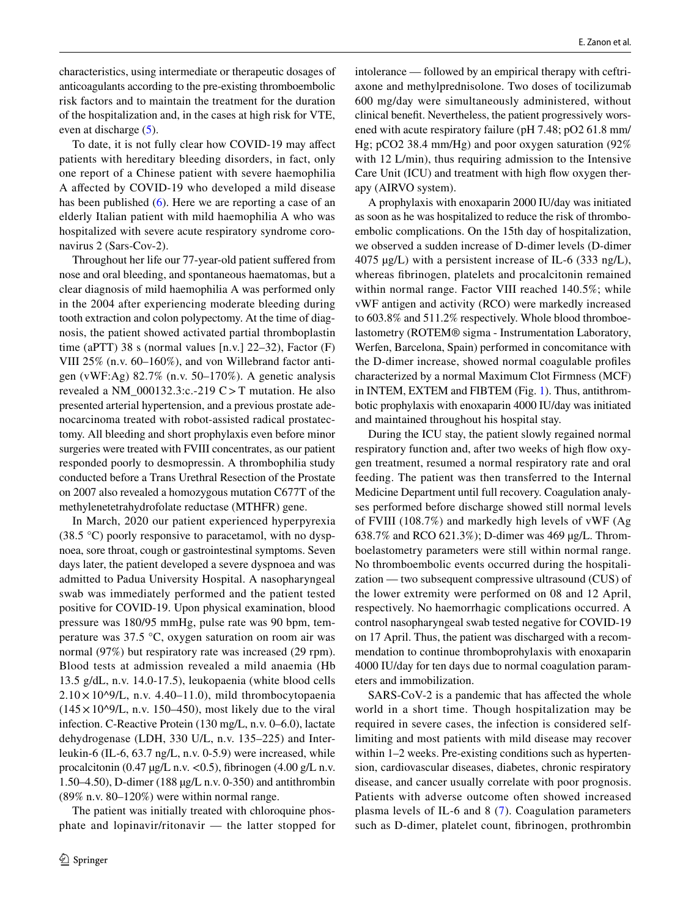characteristics, using intermediate or therapeutic dosages of anticoagulants according to the pre-existing thromboembolic risk factors and to maintain the treatment for the duration of the hospitalization and, in the cases at high risk for VTE, even at discharge ([5\)](#page-3-4).

To date, it is not fully clear how COVID-19 may afect patients with hereditary bleeding disorders, in fact, only one report of a Chinese patient with severe haemophilia A afected by COVID-19 who developed a mild disease has been published ([6\)](#page-3-5). Here we are reporting a case of an elderly Italian patient with mild haemophilia A who was hospitalized with severe acute respiratory syndrome coronavirus 2 (Sars-Cov-2).

Throughout her life our 77-year-old patient sufered from nose and oral bleeding, and spontaneous haematomas, but a clear diagnosis of mild haemophilia A was performed only in the 2004 after experiencing moderate bleeding during tooth extraction and colon polypectomy. At the time of diagnosis, the patient showed activated partial thromboplastin time (aPTT) 38 s (normal values  $[n.v.]$  22–32), Factor  $(F)$ VIII 25% (n.v. 60–160%), and von Willebrand factor antigen (vWF:Ag) 82.7% (n.v. 50–170%). A genetic analysis revealed a NM\_000132.3:c.-219 C>T mutation. He also presented arterial hypertension, and a previous prostate adenocarcinoma treated with robot-assisted radical prostatectomy. All bleeding and short prophylaxis even before minor surgeries were treated with FVIII concentrates, as our patient responded poorly to desmopressin. A thrombophilia study conducted before a Trans Urethral Resection of the Prostate on 2007 also revealed a homozygous mutation C677T of the methylenetetrahydrofolate reductase (MTHFR) gene.

In March, 2020 our patient experienced hyperpyrexia (38.5 °C) poorly responsive to paracetamol, with no dyspnoea, sore throat, cough or gastrointestinal symptoms. Seven days later, the patient developed a severe dyspnoea and was admitted to Padua University Hospital. A nasopharyngeal swab was immediately performed and the patient tested positive for COVID-19. Upon physical examination, blood pressure was 180/95 mmHg, pulse rate was 90 bpm, temperature was 37.5 °C, oxygen saturation on room air was normal (97%) but respiratory rate was increased (29 rpm). Blood tests at admission revealed a mild anaemia (Hb 13.5 g/dL, n.v. 14.0-17.5), leukopaenia (white blood cells  $2.10 \times 10^{9}$ /L, n.v. 4.40–11.0), mild thrombocytopaenia  $(145 \times 10^{9}/L, n.v. 150–450)$ , most likely due to the viral infection. C-Reactive Protein (130 mg/L, n.v. 0–6.0), lactate dehydrogenase (LDH, 330 U/L, n.v. 135–225) and Interleukin-6 (IL-6, 63.7 ng/L, n.v. 0-5.9) were increased, while procalcitonin (0.47  $\mu$ g/L n.v. < 0.5), fibrinogen (4.00 g/L n.v. 1.50–4.50), D-dimer (188 µg/L n.v. 0-350) and antithrombin (89% n.v. 80–120%) were within normal range.

The patient was initially treated with chloroquine phosphate and lopinavir/ritonavir — the latter stopped for intolerance — followed by an empirical therapy with ceftriaxone and methylprednisolone. Two doses of tocilizumab 600 mg/day were simultaneously administered, without clinical beneft. Nevertheless, the patient progressively worsened with acute respiratory failure (pH 7.48; pO2 61.8 mm/ Hg; pCO2 38.4 mm/Hg) and poor oxygen saturation (92% with 12 L/min), thus requiring admission to the Intensive Care Unit (ICU) and treatment with high flow oxygen therapy (AIRVO system).

A prophylaxis with enoxaparin 2000 IU/day was initiated as soon as he was hospitalized to reduce the risk of thromboembolic complications. On the 15th day of hospitalization, we observed a sudden increase of D-dimer levels (D-dimer 4075 µg/L) with a persistent increase of IL-6 (333 ng/L), whereas fbrinogen, platelets and procalcitonin remained within normal range. Factor VIII reached 140.5%; while vWF antigen and activity (RCO) were markedly increased to 603.8% and 511.2% respectively. Whole blood thromboelastometry (ROTEM® sigma - Instrumentation Laboratory, Werfen, Barcelona, Spain) performed in concomitance with the D-dimer increase, showed normal coagulable profles characterized by a normal Maximum Clot Firmness (MCF) in INTEM, EXTEM and FIBTEM (Fig. [1\)](#page-2-0). Thus, antithrombotic prophylaxis with enoxaparin 4000 IU/day was initiated and maintained throughout his hospital stay.

During the ICU stay, the patient slowly regained normal respiratory function and, after two weeks of high flow oxygen treatment, resumed a normal respiratory rate and oral feeding. The patient was then transferred to the Internal Medicine Department until full recovery. Coagulation analyses performed before discharge showed still normal levels of FVIII (108.7%) and markedly high levels of vWF (Ag 638.7% and RCO 621.3%); D-dimer was 469 µg/L. Thromboelastometry parameters were still within normal range. No thromboembolic events occurred during the hospitalization — two subsequent compressive ultrasound (CUS) of the lower extremity were performed on 08 and 12 April, respectively. No haemorrhagic complications occurred. A control nasopharyngeal swab tested negative for COVID-19 on 17 April. Thus, the patient was discharged with a recommendation to continue thromboprohylaxis with enoxaparin 4000 IU/day for ten days due to normal coagulation parameters and immobilization.

SARS-CoV-2 is a pandemic that has affected the whole world in a short time. Though hospitalization may be required in severe cases, the infection is considered selflimiting and most patients with mild disease may recover within 1–2 weeks. Pre-existing conditions such as hypertension, cardiovascular diseases, diabetes, chronic respiratory disease, and cancer usually correlate with poor prognosis. Patients with adverse outcome often showed increased plasma levels of IL-6 and 8 ([7](#page-3-6)). Coagulation parameters such as D-dimer, platelet count, fbrinogen, prothrombin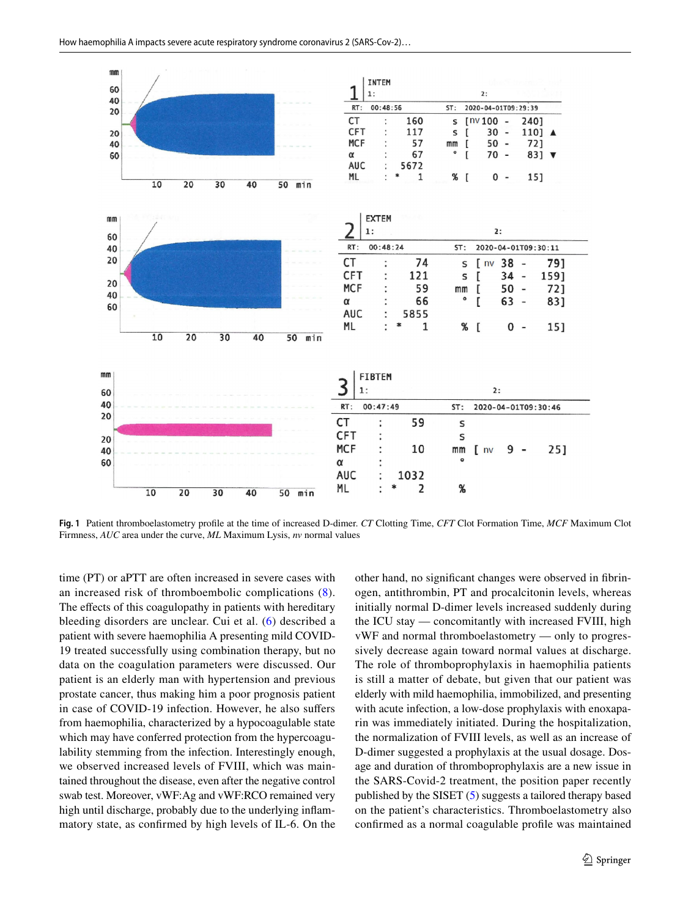

<span id="page-2-0"></span>**Fig. 1** Patient thromboelastometry profle at the time of increased D-dimer. *CT* Clotting Time, *CFT* Clot Formation Time, *MCF* Maximum Clot Firmness, *AUC* area under the curve, *ML* Maximum Lysis, *nv* normal values

time (PT) or aPTT are often increased in severe cases with an increased risk of thromboembolic complications ([8](#page-3-7)). The effects of this coagulopathy in patients with hereditary bleeding disorders are unclear. Cui et al. [\(6\)](#page-3-5) described a patient with severe haemophilia A presenting mild COVID-19 treated successfully using combination therapy, but no data on the coagulation parameters were discussed. Our patient is an elderly man with hypertension and previous prostate cancer, thus making him a poor prognosis patient in case of COVID-19 infection. However, he also sufers from haemophilia, characterized by a hypocoagulable state which may have conferred protection from the hypercoagulability stemming from the infection. Interestingly enough, we observed increased levels of FVIII, which was maintained throughout the disease, even after the negative control swab test. Moreover, vWF:Ag and vWF:RCO remained very high until discharge, probably due to the underlying infammatory state, as confrmed by high levels of IL-6. On the other hand, no signifcant changes were observed in fbrinogen, antithrombin, PT and procalcitonin levels, whereas initially normal D-dimer levels increased suddenly during the ICU stay — concomitantly with increased FVIII, high vWF and normal thromboelastometry — only to progressively decrease again toward normal values at discharge. The role of thromboprophylaxis in haemophilia patients is still a matter of debate, but given that our patient was elderly with mild haemophilia, immobilized, and presenting with acute infection, a low-dose prophylaxis with enoxaparin was immediately initiated. During the hospitalization, the normalization of FVIII levels, as well as an increase of D-dimer suggested a prophylaxis at the usual dosage. Dosage and duration of thromboprophylaxis are a new issue in the SARS-Covid-2 treatment, the position paper recently published by the SISET ([5\)](#page-3-4) suggests a tailored therapy based on the patient's characteristics. Thromboelastometry also confrmed as a normal coagulable profle was maintained